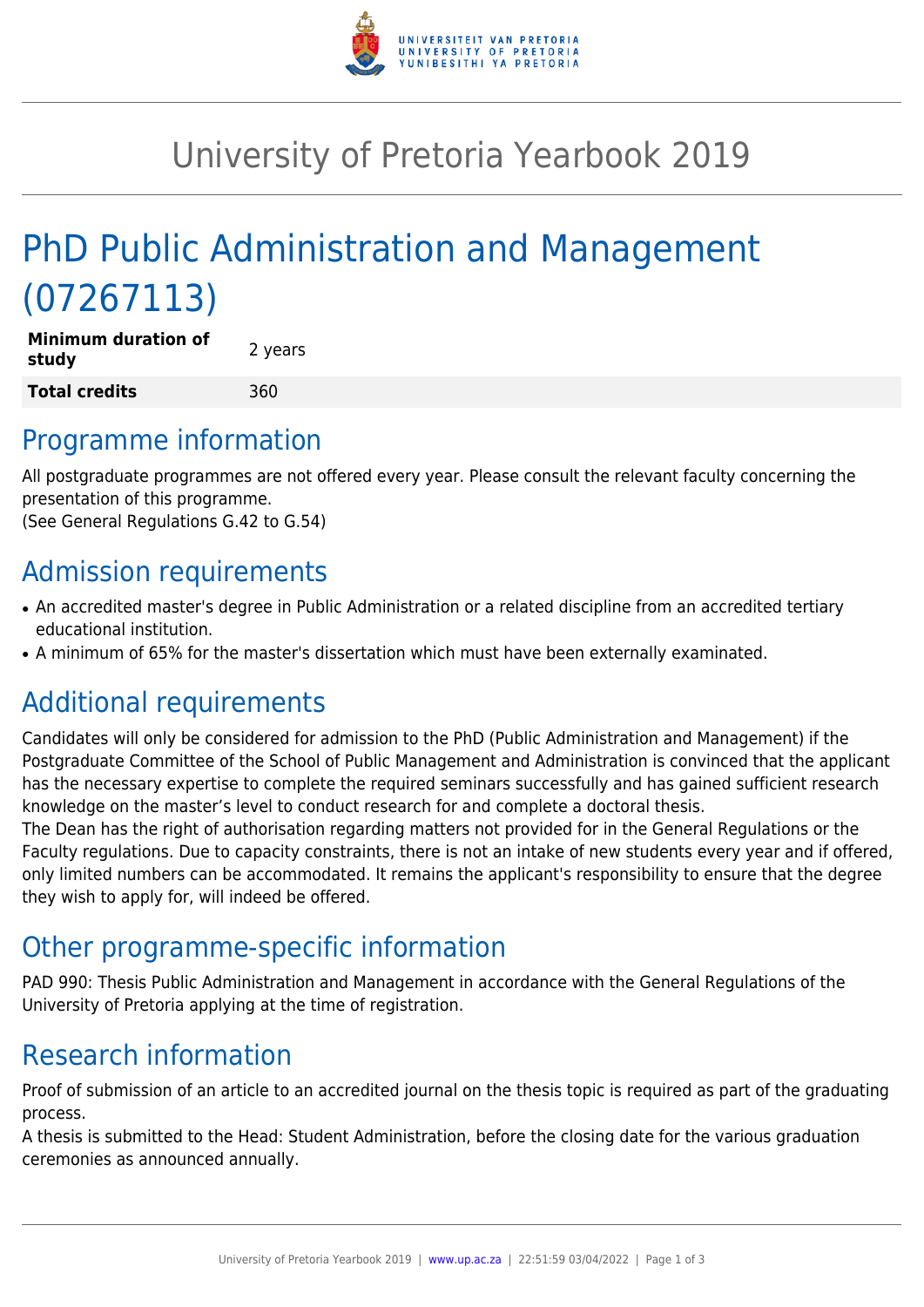

# University of Pretoria Yearbook 2019

# PhD Public Administration and Management (07267113)

| <b>Minimum duration of</b><br>study | 2 years |
|-------------------------------------|---------|
| Total credits                       | 360     |

#### Programme information

All postgraduate programmes are not offered every year. Please consult the relevant faculty concerning the presentation of this programme.

(See General Regulations G.42 to G.54)

## Admission requirements

- An accredited master's degree in Public Administration or a related discipline from an accredited tertiary educational institution.
- A minimum of 65% for the master's dissertation which must have been externally examinated.

## Additional requirements

Candidates will only be considered for admission to the PhD (Public Administration and Management) if the Postgraduate Committee of the School of Public Management and Administration is convinced that the applicant has the necessary expertise to complete the required seminars successfully and has gained sufficient research knowledge on the master's level to conduct research for and complete a doctoral thesis.

The Dean has the right of authorisation regarding matters not provided for in the General Regulations or the Faculty regulations. Due to capacity constraints, there is not an intake of new students every year and if offered, only limited numbers can be accommodated. It remains the applicant's responsibility to ensure that the degree they wish to apply for, will indeed be offered.

### Other programme-specific information

PAD 990: Thesis Public Administration and Management in accordance with the General Regulations of the University of Pretoria applying at the time of registration.

## Research information

Proof of submission of an article to an accredited journal on the thesis topic is required as part of the graduating process.

A thesis is submitted to the Head: Student Administration, before the closing date for the various graduation ceremonies as announced annually.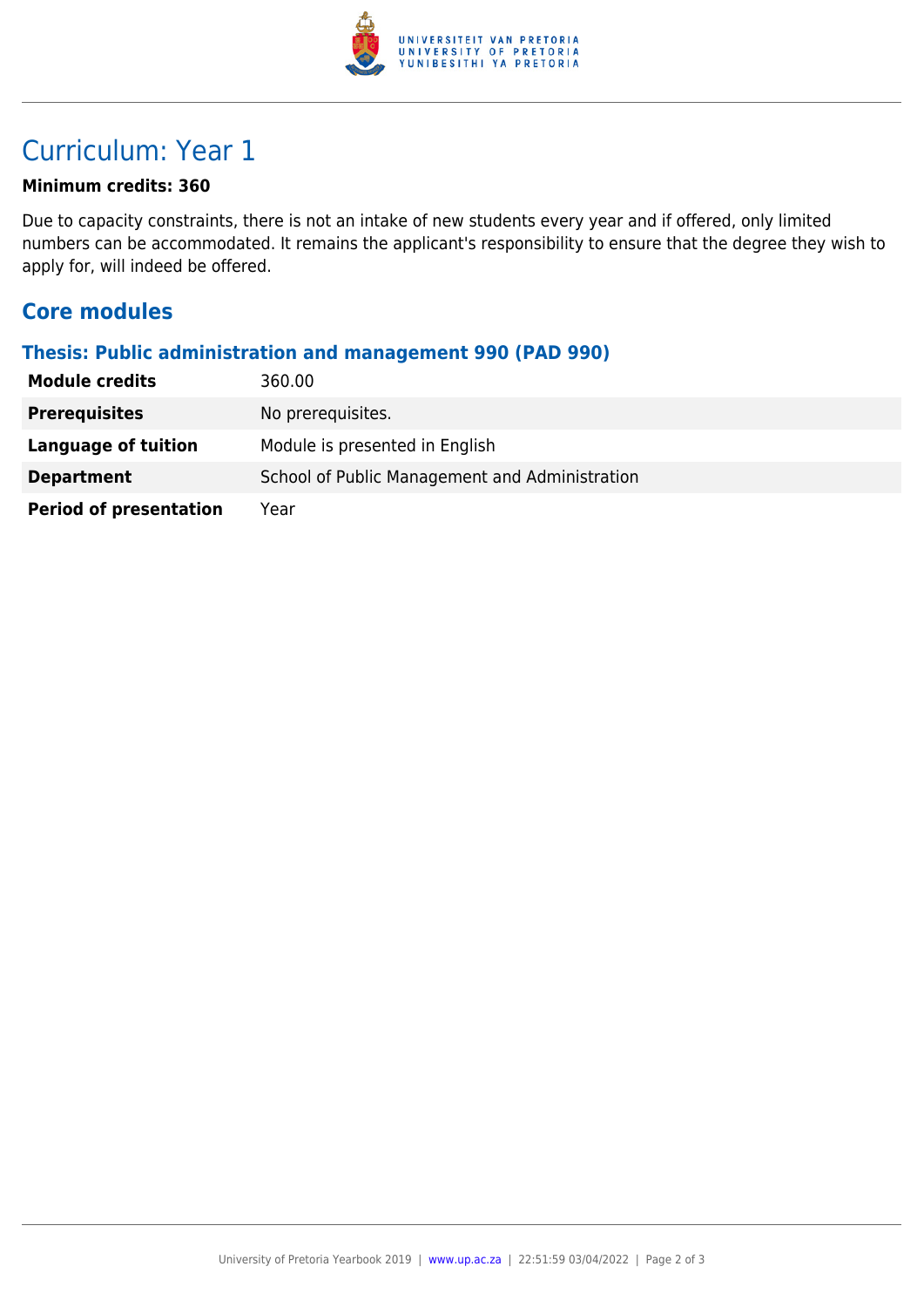

### Curriculum: Year 1

#### **Minimum credits: 360**

Due to capacity constraints, there is not an intake of new students every year and if offered, only limited numbers can be accommodated. It remains the applicant's responsibility to ensure that the degree they wish to apply for, will indeed be offered.

#### **Core modules**

#### **Thesis: Public administration and management 990 (PAD 990)**

| <b>Module credits</b>         | 360.00                                         |
|-------------------------------|------------------------------------------------|
| <b>Prerequisites</b>          | No prerequisites.                              |
| Language of tuition           | Module is presented in English                 |
| <b>Department</b>             | School of Public Management and Administration |
| <b>Period of presentation</b> | Year                                           |